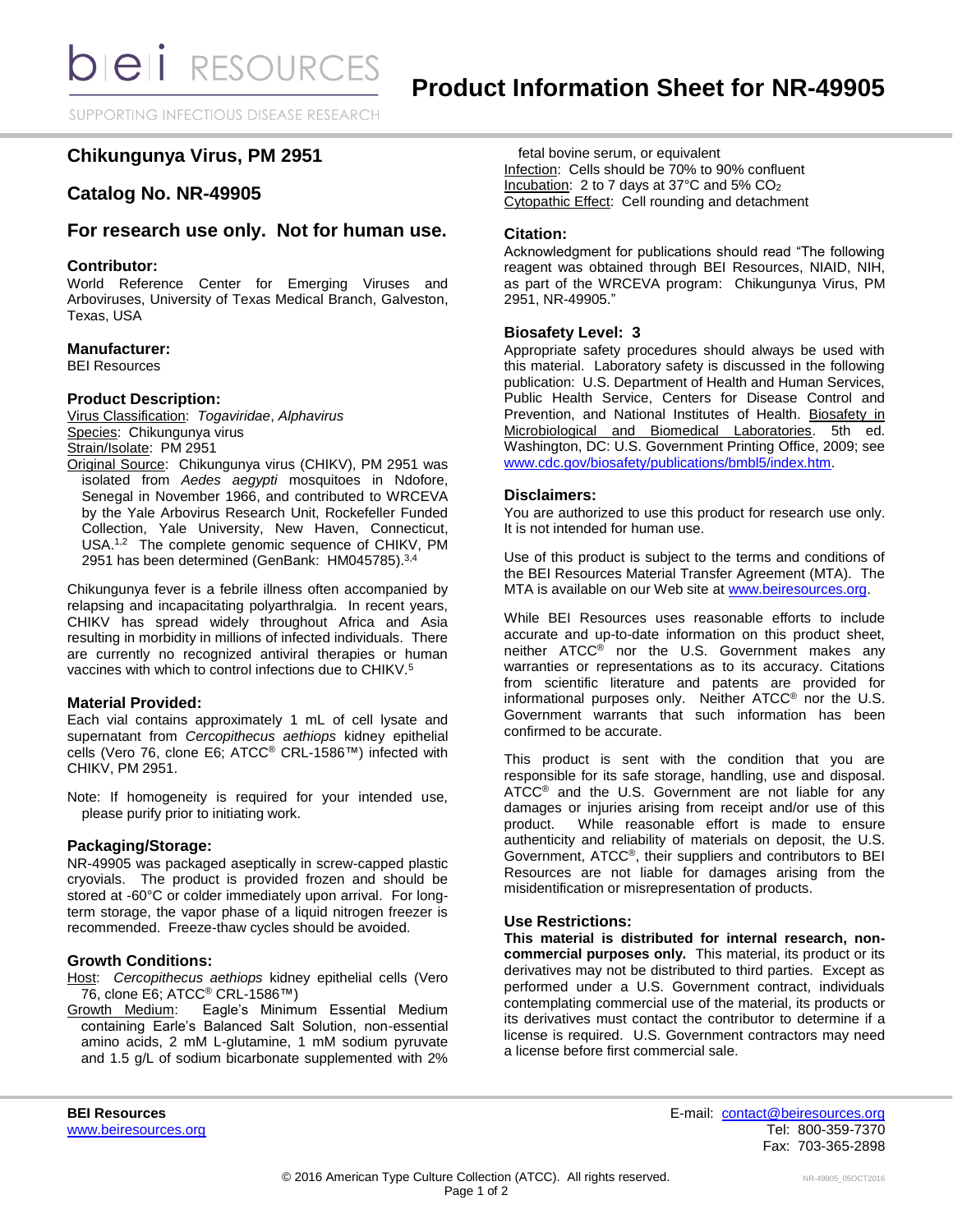SUPPORTING INFECTIOUS DISEASE RESEARCH

# **Chikungunya Virus, PM 2951**

## **Catalog No. NR-49905**

## **For research use only. Not for human use.**

#### **Contributor:**

World Reference Center for Emerging Viruses and Arboviruses, University of Texas Medical Branch, Galveston, Texas, USA

#### **Manufacturer:**

BEI Resources

#### **Product Description:**

Virus Classification: *Togaviridae*, *Alphavirus* Species: Chikungunya virus Strain/Isolate: PM 2951

Original Source: Chikungunya virus (CHIKV), PM 2951 was isolated from *Aedes aegypti* mosquitoes in Ndofore, Senegal in November 1966, and contributed to WRCEVA by the Yale Arbovirus Research Unit, Rockefeller Funded Collection, Yale University, New Haven, Connecticut, USA.<sup>1,2</sup> The complete genomic sequence of CHIKV, PM 2951 has been determined (GenBank: HM045785).3,4

Chikungunya fever is a febrile illness often accompanied by relapsing and incapacitating polyarthralgia. In recent years, CHIKV has spread widely throughout Africa and Asia resulting in morbidity in millions of infected individuals. There are currently no recognized antiviral therapies or human vaccines with which to control infections due to CHIKV.<sup>5</sup>

#### **Material Provided:**

Each vial contains approximately 1 mL of cell lysate and supernatant from *Cercopithecus aethiops* kidney epithelial cells (Vero 76, clone E6; ATCC® CRL-1586™) infected with CHIKV, PM 2951.

Note: If homogeneity is required for your intended use, please purify prior to initiating work.

#### **Packaging/Storage:**

NR-49905 was packaged aseptically in screw-capped plastic cryovials. The product is provided frozen and should be stored at -60°C or colder immediately upon arrival. For longterm storage, the vapor phase of a liquid nitrogen freezer is recommended. Freeze-thaw cycles should be avoided.

#### **Growth Conditions:**

Host: *Cercopithecus aethiops* kidney epithelial cells (Vero  $\overline{76}$ , clone E6; ATCC<sup>®</sup> CRL-1586™)

Growth Medium: Eagle's Minimum Essential Medium containing Earle's Balanced Salt Solution, non-essential amino acids, 2 mM L-glutamine, 1 mM sodium pyruvate and 1.5 g/L of sodium bicarbonate supplemented with 2%

fetal bovine serum, or equivalent Infection: Cells should be 70% to 90% confluent Incubation: 2 to 7 days at 37°C and 5% CO<sup>2</sup> Cytopathic Effect: Cell rounding and detachment

### **Citation:**

Acknowledgment for publications should read "The following reagent was obtained through BEI Resources, NIAID, NIH, as part of the WRCEVA program: Chikungunya Virus, PM 2951, NR-49905."

#### **Biosafety Level: 3**

Appropriate safety procedures should always be used with this material. Laboratory safety is discussed in the following publication: U.S. Department of Health and Human Services, Public Health Service, Centers for Disease Control and Prevention, and National Institutes of Health. Biosafety in Microbiological and Biomedical Laboratories. 5th ed. Washington, DC: U.S. Government Printing Office, 2009; see [www.cdc.gov/biosafety/publications/bmbl5/index.htm.](http://www.cdc.gov/biosafety/publications/bmbl5/index.htm)

#### **Disclaimers:**

You are authorized to use this product for research use only. It is not intended for human use.

Use of this product is subject to the terms and conditions of the BEI Resources Material Transfer Agreement (MTA). The MTA is available on our Web site at [www.beiresources.org.](http://www.beiresources.org/)

While BEI Resources uses reasonable efforts to include accurate and up-to-date information on this product sheet, neither ATCC<sup>®</sup> nor the U.S. Government makes any warranties or representations as to its accuracy. Citations from scientific literature and patents are provided for informational purposes only. Neither ATCC® nor the U.S. Government warrants that such information has been confirmed to be accurate.

This product is sent with the condition that you are responsible for its safe storage, handling, use and disposal. ATCC<sup>®</sup> and the U.S. Government are not liable for any damages or injuries arising from receipt and/or use of this product. While reasonable effort is made to ensure authenticity and reliability of materials on deposit, the U.S. Government, ATCC®, their suppliers and contributors to BEI Resources are not liable for damages arising from the misidentification or misrepresentation of products.

#### **Use Restrictions:**

**This material is distributed for internal research, noncommercial purposes only.** This material, its product or its derivatives may not be distributed to third parties. Except as performed under a U.S. Government contract, individuals contemplating commercial use of the material, its products or its derivatives must contact the contributor to determine if a license is required. U.S. Government contractors may need a license before first commercial sale.

**BEI Resources** E-mail: [contact@beiresources.org](mailto:contact@beiresources.org) [www.beiresources.org](http://www.beiresources.org/) **Tel: 800-359-7370** Fax: 703-365-2898